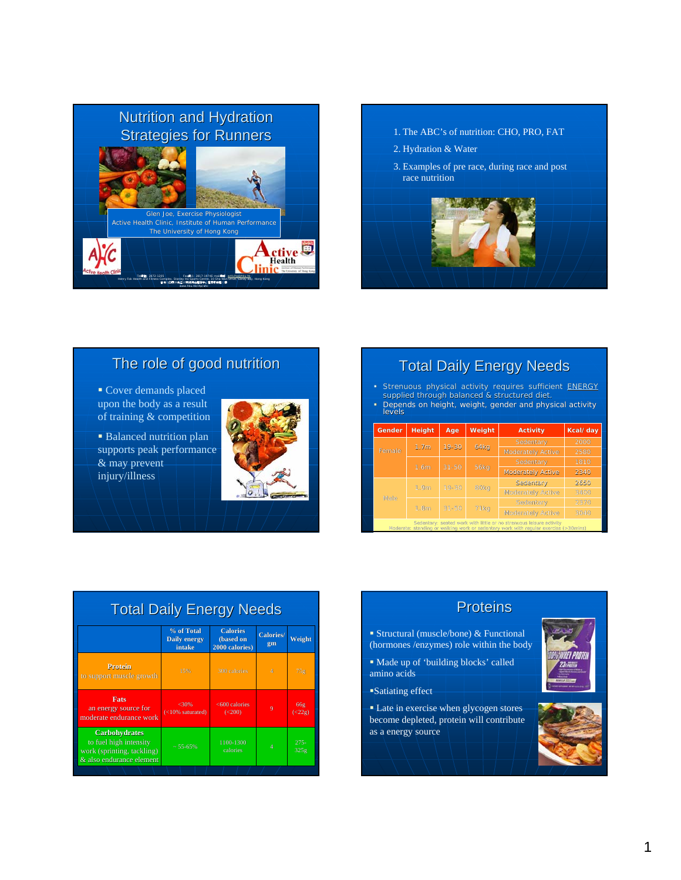



# The role of good nutrition

- Cover demands placed upon the body as a result of training & competition
- **Balanced nutrition plan** supports peak performance & may prevent injury/illness



# **Total Daily Energy Needs**

- **Strenuous physical activity requires sufficient ENERGY** supplied through balanced & structured diet.
- Depends on height, weight, gender and physical activity levels

| Gender                                                                                                                                                      | <b>Height</b>                         | Age       | Weight           | <b>Activity</b>          | Kcal/day |  |
|-------------------------------------------------------------------------------------------------------------------------------------------------------------|---------------------------------------|-----------|------------------|--------------------------|----------|--|
|                                                                                                                                                             |                                       | $19 - 30$ |                  | Sedentary                |          |  |
| Female                                                                                                                                                      | 1.7 <sub>m</sub>                      |           | <b>64kg</b>      | <b>Moderately Active</b> |          |  |
|                                                                                                                                                             |                                       |           |                  | Sedentary                | 1810     |  |
|                                                                                                                                                             | 1.6m                                  | $31 - 50$ | <b>56kg</b>      | <b>Moderately Active</b> | 2340     |  |
|                                                                                                                                                             | $19 - 30$<br>80kg<br>1.9 <sub>m</sub> |           | Sedentary        | 2650                     |          |  |
|                                                                                                                                                             |                                       |           |                  | Moderately Active        | 3400     |  |
| Male                                                                                                                                                        |                                       |           |                  | Sedentary                | 2370     |  |
|                                                                                                                                                             | 1.8 <sub>m</sub>                      | $31 - 50$ | 71 <sub>kg</sub> | Moderately Active        | 3040     |  |
| Sedentary: seated work with little or no strenuous leisure activity<br>Moderate: standing or waiking work or sedentary work with requiar exercise (>30mins) |                                       |           |                  |                          |          |  |

| % of Total<br>Daily energy<br>intake<br>15% | <b>Calories</b><br>(based on<br>2000 calories)<br>300 calories. | Calories/<br>gm        | Weight              |
|---------------------------------------------|-----------------------------------------------------------------|------------------------|---------------------|
|                                             |                                                                 |                        |                     |
|                                             |                                                                 | $\boldsymbol{\Lambda}$ | 75g                 |
| $<$ 30%<br>$(<10\%$ saturated)              | <600 calories<br>$(200)$                                        | $\overline{9}$         | 66g<br>$(\leq 22g)$ |
| $~55 - 65%$                                 | 1100-1300<br><i>calories</i>                                    |                        | $275 -$<br>325g     |
|                                             |                                                                 |                        |                     |

- Structural (muscle/bone) & Functional (hormones /enzymes) role within the body
- Made up of 'building blocks' called amino acids
- Satiating effect
- **Late in exercise when glycogen stores** become depleted, protein will contribute as a energy source

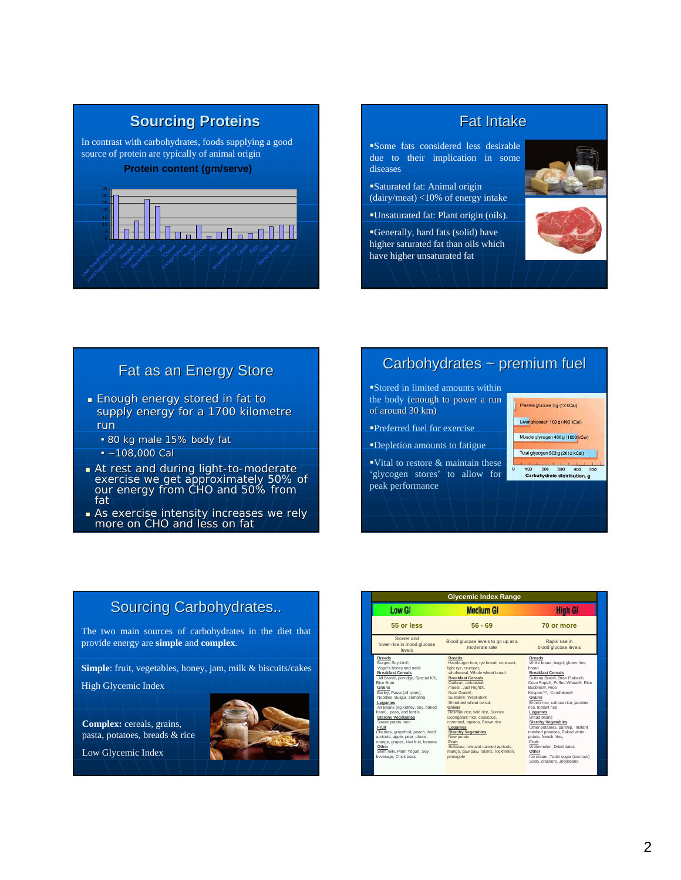

**Sourcing Proteins Sourcing Proteins**



# Fat as an Energy Store

- **Enough energy stored in fat to** supply energy for a 1700 kilometre run
	- 80 kg male 15% body fat
	- $-108,000$  Cal
- $\blacksquare$  At rest and during light-to-moderate exercise we get approximately 50% of our energy from CHO and 50% from  $\,$ fat
- As exercise intensity increases we rely more on CHO and less on fat

# Carbohydrates ~ premium fuel

Stored in limited amounts within the body (enough to power a run of around 30 km)

- Preferred fuel for exercise
- Depletion amounts to fatigue
- Vital to restore  $&$  maintain these 'glycogen stores' to allow for peak performance
- Plasma glucose 3 g (12 kCal)
- Liver glycogen 100 g (400 kCal)
- Muscle glycogen 400 g (1600 kCal)
- 
- Total glycogen 503 g (2012 kCal)
- 100 200 300 400 50<br>Carbohydrate distribution, g

# Sourcing Carbohydrates..

The two main sources of carbohydrates in the diet that provide energy are **simple** and **complex**.

**Simple**: fruit, vegetables, honey, jam, milk & biscuits/cakes

High Glycemic Index

**Complex:** cereals, grains, pasta, potatoes, breads & rice Low Glycemic Index



|                                                                                                           | <b>Glycemic Index Range</b>                                                                                  |                                                                                             |  |
|-----------------------------------------------------------------------------------------------------------|--------------------------------------------------------------------------------------------------------------|---------------------------------------------------------------------------------------------|--|
| <b>Low GI</b>                                                                                             | <b>Medium GI</b>                                                                                             | High Gl                                                                                     |  |
| 55 or less                                                                                                | $56 - 69$                                                                                                    | 70 or more                                                                                  |  |
| Slower and<br>lower rise in blood glucose<br>levels                                                       | Blood glucose levels to go up at a<br>moderate rate                                                          | Rapid rise in<br>blood glucose levels                                                       |  |
| <b>Breads</b><br>Burgen Soy-Lin®,<br>Vogel's honey and oat®<br><b>Breakfast Cereals</b>                   | <b>Breads</b><br>Hamburger bun, rye bread, croissant,<br>light rye, crumpet,<br>wholemeal. Whole wheat bread | <b>Breads</b><br>White bread, bagel, gluten-free<br>bread<br><b>Breakfast Cereals</b>       |  |
| All Bran®, porridge, Special K®,<br>Rice Bran<br>Grains                                                   | <b>Breakfast Cereals</b><br>Oatbran, untoasted<br>muesli, Just Right®.                                       | Sultana Bran®, Bran Flakes®,<br>Coco Pops®, Puffed Wheat®, Rice<br>Bubbles®, Rice           |  |
| Barley, Pasta (all types),<br>Noodles, Bulgur, semolina<br>Leaumes<br>All Beans (eq kidney, soy, baked    | Nutri Grain <sup>®</sup> .<br>Sustain®, Weet-Bix®<br>Shredded wheat cereal<br>Grains                         | Krispies™, Cornflakes®<br>Grains<br>Brown rice, calrose rice, jasmine<br>rice. Instant rice |  |
| bean), peas, and lentils<br><b>Starchy Vegetables</b><br>Sweet potato, taro<br>Fruit                      | Basmati rice, wild rice, Sunrice<br>Doongara® rice, couscous.<br>commeal, tapioca, Brown rice<br>Leaumes     | Legumes<br>Broad beans<br><b>Starchy Vegetables</b><br>Other potatoes, parsnip, Instant     |  |
| Cherries, grapefruit, peach, dried<br>apricots, apple, pear, plums,<br>orange, grapes, kiwi fruit, banana | <b>Starchy Vegetables</b><br>New potato<br>Fruit                                                             | mashed potatoes. Baked white<br>potato, french fries,<br>Fruit                              |  |
| Other<br>Skim milk, Plain Yogurt, Sov<br>beverage. Chick peas                                             | Sultanas, raw and canned apricots,<br>mango, paw paw, raisins, rockmelon,<br>pineapple                       | Watermelon, Dried dates<br>Other<br>Ice cream, Table sugar (sucrose)                        |  |
|                                                                                                           |                                                                                                              | Soda, crackers, Jellybeans                                                                  |  |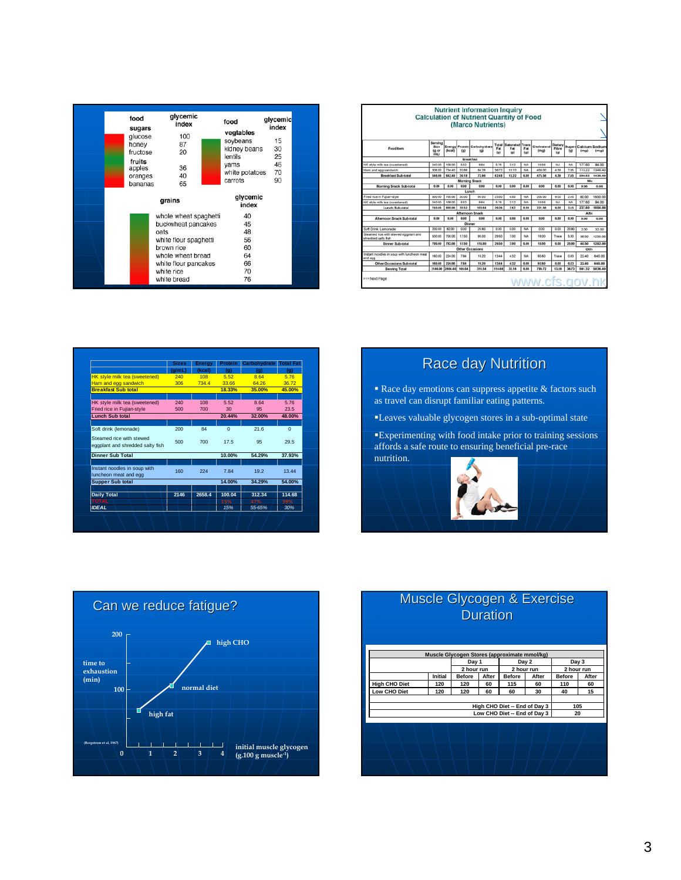| 90<br>carrots<br>65 | glycemic<br>index<br>whole wheat spaghetti<br>40<br>buckwheat pancakes<br>45 | 48<br>56<br>60<br>64 | glycemic<br>food<br>index<br>sugars<br>100<br>glucose<br>87<br>honey<br>20<br>fructose<br>fruits<br>36<br>apples<br>40<br>oranges<br>bananas | glycemic<br>food<br>index<br>vegtables<br>soybeans<br>15<br>kidney beans<br>30<br>lentils<br>25<br>46<br>vams<br>70<br>white potatoes |
|---------------------|------------------------------------------------------------------------------|----------------------|----------------------------------------------------------------------------------------------------------------------------------------------|---------------------------------------------------------------------------------------------------------------------------------------|
|                     |                                                                              |                      |                                                                                                                                              |                                                                                                                                       |

|                                                              |                                 |                    |               | <b>Nutrient Information Inquiry</b><br><b>Calculation of Nutrient Quantity of Food</b><br>(Marco Nutrients) |                     |                               |                 |                     |                           |              |                  |                              |
|--------------------------------------------------------------|---------------------------------|--------------------|---------------|-------------------------------------------------------------------------------------------------------------|---------------------|-------------------------------|-----------------|---------------------|---------------------------|--------------|------------------|------------------------------|
| Food item                                                    | Serving<br>Size<br>tg or<br>mL) | the <sub>all</sub> | (a)           | Energy Protein Carbohydrate<br>tal                                                                          | Total<br>Fac<br>fal | Saturated Trans<br>Fot<br>fal | Fat<br>(a)      | Cholesterol<br>(mg) | Dietary<br>Fiture<br>fall | Sugar<br>tat | Calcium<br>(mq)  | Sodium<br>(m <sub>SI</sub> ) |
|                                                              |                                 |                    |               | <b>Breakfast</b>                                                                                            |                     |                               |                 |                     |                           |              |                  |                              |
| HK style milk tea (sweetened).                               | 340.00<br>306.00                | 109.00<br>734.40   | 5.52<br>33.66 | 8.64<br>64.76                                                                                               | 5.76<br>36.72       | 3.12<br>1010                  | NA<br><b>NA</b> | 16.56<br>455.00     | NA<br>450                 | NA<br>7.65   | 177.60           | 84.00                        |
| Ham and eps sandwich<br><b>Breakfast Sub-total</b>           | 546.00                          | \$42.40            | 39.18         | 72.90                                                                                                       | 42.48               | 13.22                         | 0.00            | 475.56              | 4.59                      | 7.65         | 113.22<br>290.82 | 1346.40<br>1430.40           |
|                                                              |                                 |                    |               | <b>Morning Snack</b>                                                                                        |                     |                               |                 |                     |                           |              | Mo               |                              |
| Morning Snack Sub-total                                      | 0.00                            | 6.00               | 0.00          | 6.00                                                                                                        | 6.00                | 0.00                          | 0.00            | 6.00                | 0.00                      | 0.00         | 0.00             | 0.00                         |
|                                                              |                                 |                    |               | Lunch                                                                                                       |                     |                               |                 |                     |                           |              |                  |                              |
| Fried rice in Fujian-style                                   | 500.00                          | 700.00             | 30.00         | 95.00                                                                                                       | 23.50               | 4.50                          | NA              | 205.00              | 9.00                      | 2.45         | 60.00            | 1600.00                      |
| HK style milk tea (sweetened)                                | 240.00                          | 108.00             | 6.62          | 8.64                                                                                                        | \$76                | 3.12                          | NA              | 16.56               | NA                        | NA           | 177.60           | 84.00                        |
| Lunch Subarcal                                               | 740.00                          | 808.00             | 35.52         | 103.64                                                                                                      | 29.26               | 7.62                          | 0.00            | 221.56              | 9.00                      | 2.45         | 237.60           | 1684.00                      |
|                                                              |                                 |                    |               | <b>Afternoon Snack</b>                                                                                      |                     |                               |                 |                     |                           |              | Afte             |                              |
| Afternoon Snack Sub-total                                    | 0.06                            | 6.00               | 6.00          | 6.00                                                                                                        | 6.00                | 0.00                          | 0.00            | 6.00                | 0.00                      | 0.00         | 0.00             | 0.00                         |
|                                                              |                                 |                    |               | Diryner                                                                                                     |                     |                               |                 |                     |                           |              |                  |                              |
| Soft Drink, Lemonade                                         | 200.00                          | 92.00              | 0.00          | 20.90                                                                                                       | 0.00                | 0.00                          | <b>NA</b>       | 0.00                | 0.00                      | 20.90        | 2.00             | 32.00                        |
| Steamed rice with stewed eggplant and<br>shredded salty fish | 500.00                          | 700.00             | 17.50         | 95.00                                                                                                       | 29.50               | 7.00                          | NA              | 18:00               | Trace                     | 5.00         | 38.50            | 1250.00                      |
| Dinner Sub-total                                             | 700.00                          | 782.00             | 17.50         | 115,88                                                                                                      | 29.50               | 7.00                          | 0.00            | 12.00               | 0.00                      | 25.90        | 40.50            | 1282.00                      |
|                                                              |                                 |                    |               | Other Geoasions                                                                                             |                     |                               |                 |                     |                           |              | Oth              |                              |
| Instant noodles in soup with luncheon meat<br>and egg        | 160.00                          | 234.00             | 7.94          | 19.20                                                                                                       | 13.44               | 432                           | NA              | 65.60               | Trace                     | GB3          | 22.40            | 640.00                       |
| Other Occasions Sub-total                                    | 150.00                          | 224.00             | 7.84          | 19.20                                                                                                       | 13.44               | 4.32                          | 0.00            | 65.60               | 0.00                      | 6.83         | 22.40            | 640.00                       |
| Serving Total                                                | 2146.00                         | 2656.40            | 100.04        | 311.54                                                                                                      | 114,68              | 32.56                         | 0.00            | 780.72              | 13.59                     | 36.73        | 591.32           | 5036.40                      |
| >>>Next Page                                                 |                                 |                    |               |                                                                                                             |                     |                               |                 | www.cfs.gov.hk      |                           |              |                  |                              |

|                                  | <b>Sizes</b> | <b>Energy</b> | <b>Protein</b> | <b>Carbohydrate</b> | <b>Total Fat</b> |
|----------------------------------|--------------|---------------|----------------|---------------------|------------------|
|                                  | (g/mL)       | (kcal)        | (a)            | (a)                 | (a)              |
| HK style milk tea (sweetened)    | 240          | 108           | 5.52           | 8.64                | 5.76             |
| Ham and egg sandwich             | 306          | 734.4         | 33.66          | 64.26               | 36.72            |
| <b>Breakfast Sub total</b>       |              |               | 18.33%         | 35.00%              | 45.00%           |
|                                  |              |               |                |                     |                  |
| HK style milk tea (sweetened)    | 240          | 108           | 5.52           | 8.64                | 5.76             |
| Fried rice in Fujian-style       | 500          | 700           | 30             | 95                  | 23.5             |
| <b>Lunch Sub total</b>           |              |               | 20.44%         | 32.00%              | 48.00%           |
|                                  |              |               |                |                     |                  |
| Soft drink (lemonade)            | 200          | 84            | $\Omega$       | 21.6                | $\Omega$         |
| Steamed rice with stewed         |              |               |                |                     |                  |
| eggplant and shredded salty fish | 500          | 700           | 17.5           | 95                  | 29.5             |
|                                  |              |               |                |                     |                  |
| <b>Dinner Sub Total</b>          |              |               | 10.00%         | 54.29%              | 37.93%           |
|                                  |              |               |                |                     |                  |
| Instant noodles in soup with     | 160          | 224           | 7.84           | 19.2                | 13.44            |
| luncheon meat and egg            |              |               |                |                     |                  |
| <b>Supper Sub total</b>          |              |               | 14.00%         | 34.29%              | 54.00%           |
|                                  |              |               |                |                     |                  |
| <b>Daily Total</b>               | 2146         | 2658.4        | 100.04         | 312.34              | 114.68           |
| <b>TOTAL</b>                     |              |               | 15%            | 47%                 | 39%              |
| <b>IDEAL</b>                     |              |               | 15%            | 55-65%              | 30%              |
|                                  |              |               |                |                     |                  |

# **Race day Nutrition**

 Race day emotions can suppress appetite & factors such as travel can disrupt familiar eating patterns.

Leaves valuable glycogen stores in a sub-optimal state

Experimenting with food intake prior to training sessions affords a safe route to ensuring beneficial pre-race nutrition.





| <b>Muscle Glycogen &amp; Exercise</b><br><b>Duration</b>                   |         |                                              |       |               |       |               |       |  |
|----------------------------------------------------------------------------|---------|----------------------------------------------|-------|---------------|-------|---------------|-------|--|
|                                                                            |         | Muscle Glycogen Stores (approximate mmol/kg) |       |               |       |               |       |  |
|                                                                            |         | Day 1                                        |       | Day 2         |       | Day 3         |       |  |
|                                                                            |         | 2 hour run                                   |       | 2 hour run    |       | 2 hour run    |       |  |
|                                                                            | Initial | <b>Before</b>                                | After | <b>Before</b> | After | <b>Before</b> | After |  |
| <b>High CHO Diet</b>                                                       | 120     | 120                                          | 60    | 115           | 60    | 110           | 60    |  |
| <b>Low CHO Diet</b>                                                        | 120     | 120                                          | 60    | 60            | 30    | 40            | 15    |  |
| High CHO Diet -- End of Day 3<br>105<br>Low CHO Diet -- End of Day 3<br>20 |         |                                              |       |               |       |               |       |  |
|                                                                            |         |                                              |       |               |       |               |       |  |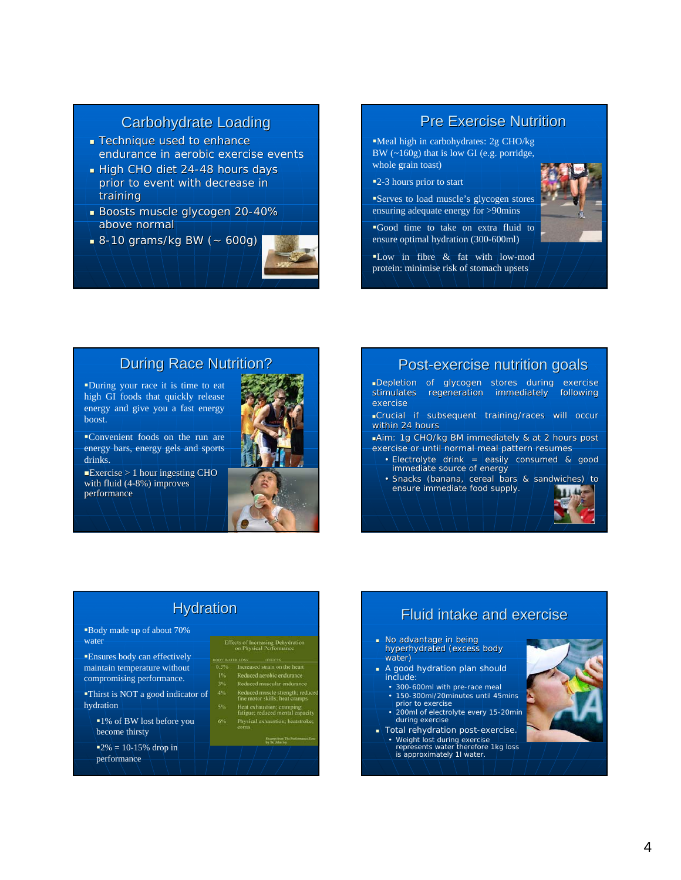## **Carbohydrate Loading**

- **Technique used to enhance** endurance in aerobic exercise events
- $\blacksquare$  High CHO diet 24-48 hours days prior to event with decrease in training
- Boosts muscle glycogen 20-40% above normal
- $8-10$  grams/kg BW ( $\sim$  600g)



### **Pre Exercise Nutrition**

Meal high in carbohydrates: 2g CHO/kg BW (~160g) that is low GI (e.g. porridge, whole grain toast)

2-3 hours prior to start

Serves to load muscle's glycogen stores ensuring adequate energy for >90mins

Good time to take on extra fluid to ensure optimal hydration (300-600ml)

 $\blacksquare$ Low in fibre & fat with low-mod protein: minimise risk of stomach upsets



**During Race Nutrition?** 

During your race it is time to eat high GI foods that quickly release energy and give you a fast energy boost.

Convenient foods on the run are energy bars, energy gels and sports drinks.

 $\blacktriangle$ Exercise > 1 hour ingesting CHO with fluid  $(4-8%)$  improves performance



### Post-exercise nutrition goals

Depletion of glycogen stores during exercise stimulates regeneration immediately following exercise

Crucial if subsequent training/races will occur within 24 hours

 $\blacksquare$ Aim: 1g CHO/kg BM immediately & at 2 hours post exercise or until normal meal pattern resumes

- Electrolyte drink = easily consumed & good immediate source of energy
- Snacks (banana, cereal bars & sandwiches) to ensure immediate food supply.

## **Hydration**

Body made up of about 70% water

Ensures body can effectively maintain temperature without compromising performance.

Thirst is NOT a good indicator of hydration

1% of BW lost before you become thirsty

 $12\% = 10-15\%$  drop in performance

|                         | Effects of Increasing Dehydration<br>on Physical Performance |
|-------------------------|--------------------------------------------------------------|
| <b>IDV: WATER 1.OSS</b> | <b>EFFECTS</b>                                               |

| 5% | Increased strain on the heart                                   |
|----|-----------------------------------------------------------------|
| 1% | Reduced aerobic endurance                                       |
| 3% | Reduced muscular endurance                                      |
| 4% | Reduced muscle strength; redu<br>fine motor skills; heat cramps |
| 5% | Heat exhaustion; cramping;<br>fatigue; reduced mental capaci    |
| 6% | Physical exhaustion; heatstroke<br>coma                         |

# Fluid intake and exercise Fluid intake and exercise

- No advantage in being hyperhydrated (excess body water)
- A good hydration plan should include:
- 300-600ml with pre-race meal • 150-300ml/20minutes until 45mins prior to exercise
- 200ml of electrolyte every 15-20min during exercise
- Total rehydration post-exercise. • Weight lost during exercise represents water therefore 1kg loss is approximately 1l water.